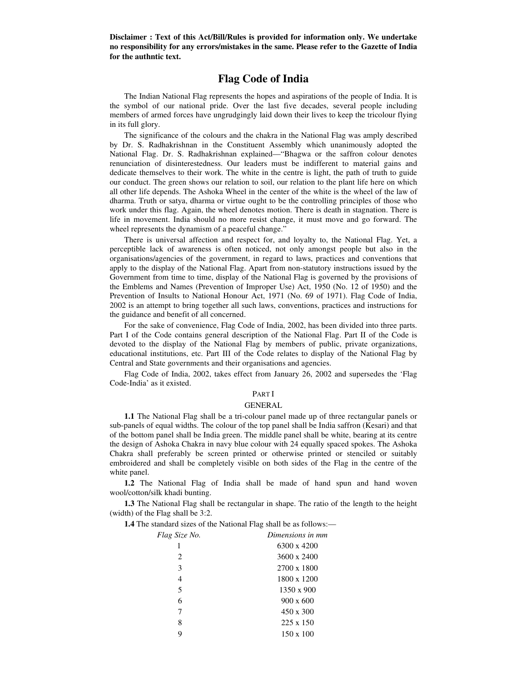**Disclaimer : Text of this Act/Bill/Rules is provided for information only. We undertake no responsibility for any errors/mistakes in the same. Please refer to the Gazette of India for the authntic text.**

# **Flag Code of India**

The Indian National Flag represents the hopes and aspirations of the people of India. It is the symbol of our national pride. Over the last five decades, several people including members of armed forces have ungrudgingly laid down their lives to keep the tricolour flying in its full glory.

The significance of the colours and the chakra in the National Flag was amply described by Dr. S. Radhakrishnan in the Constituent Assembly which unanimously adopted the National Flag. Dr. S. Radhakrishnan explained—"Bhagwa or the saffron colour denotes renunciation of disinterestedness. Our leaders must be indifferent to material gains and dedicate themselves to their work. The white in the centre is light, the path of truth to guide our conduct. The green shows our relation to soil, our relation to the plant life here on which all other life depends. The Ashoka Wheel in the center of the white is the wheel of the law of dharma. Truth or satya, dharma or virtue ought to be the controlling principles of those who work under this flag. Again, the wheel denotes motion. There is death in stagnation. There is life in movement. India should no more resist change, it must move and go forward. The wheel represents the dynamism of a peaceful change."

There is universal affection and respect for, and loyalty to, the National Flag. Yet, a perceptible lack of awareness is often noticed, not only amongst people but also in the organisations/agencies of the government, in regard to laws, practices and conventions that apply to the display of the National Flag. Apart from non-statutory instructions issued by the Government from time to time, display of the National Flag is governed by the provisions of the Emblems and Names (Prevention of Improper Use) Act, 1950 (No. 12 of 1950) and the Prevention of Insults to National Honour Act, 1971 (No. 69 of 1971). Flag Code of India, 2002 is an attempt to bring together all such laws, conventions, practices and instructions for the guidance and benefit of all concerned.

For the sake of convenience, Flag Code of India, 2002, has been divided into three parts. Part I of the Code contains general description of the National Flag. Part II of the Code is devoted to the display of the National Flag by members of public, private organizations, educational institutions, etc. Part III of the Code relates to display of the National Flag by Central and State governments and their organisations and agencies.

Flag Code of India, 2002, takes effect from January 26, 2002 and supersedes the 'Flag Code-India' as it existed.

## PART I

## GENERAL

**1.1** The National Flag shall be a tri-colour panel made up of three rectangular panels or sub-panels of equal widths. The colour of the top panel shall be India saffron (Kesari) and that of the bottom panel shall be India green. The middle panel shall be white, bearing at its centre the design of Ashoka Chakra in navy blue colour with 24 equally spaced spokes. The Ashoka Chakra shall preferably be screen printed or otherwise printed or stenciled or suitably embroidered and shall be completely visible on both sides of the Flag in the centre of the white panel.

**1.2** The National Flag of India shall be made of hand spun and hand woven wool/cotton/silk khadi bunting.

**1.3** The National Flag shall be rectangular in shape. The ratio of the length to the height (width) of the Flag shall be 3:2.

**1.4** The standard sizes of the National Flag shall be as follows:—

| Flag Size No. | Dimensions in mm |
|---------------|------------------|
|               | 6300 x 4200      |
| 2             | 3600 x 2400      |
| 3             | 2700 x 1800      |
| 4             | 1800 x 1200      |
| 5             | 1350 x 900       |
| 6             | $900 \times 600$ |
| 7             | $450 \times 300$ |
| 8             | $225 \times 150$ |
| 9             | $150 \times 100$ |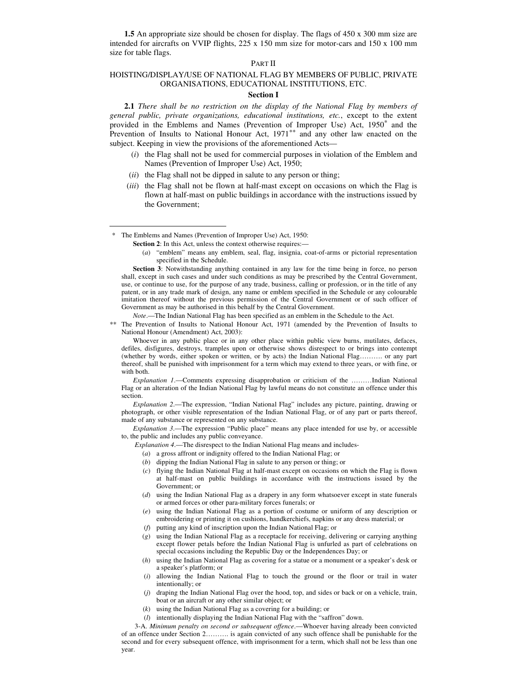**1.5** An appropriate size should be chosen for display. The flags of 450 x 300 mm size are intended for aircrafts on VVIP flights, 225 x 150 mm size for motor-cars and 150 x 100 mm size for table flags.

### PART II

# HOISTING/DISPLAY/USE OF NATIONAL FLAG BY MEMBERS OF PUBLIC, PRIVATE ORGANISATIONS, EDUCATIONAL INSTITUTIONS, ETC.

## **Section I**

**2.1** *There shall be no restriction on the display of the National Flag by members of general public, private organizations, educational institutions, etc.*, except to the extent provided in the Emblems and Names (Prevention of Improper Use) Act, 1950 \* and the Prevention of Insults to National Honour Act, 1971<sup>\*\*</sup> and any other law enacted on the subject. Keeping in view the provisions of the aforementioned Acts—

- (*i*) the Flag shall not be used for commercial purposes in violation of the Emblem and Names (Prevention of Improper Use) Act, 1950;
- (*ii*) the Flag shall not be dipped in salute to any person or thing;
- (*iii*) the Flag shall not be flown at half-mast except on occasions on which the Flag is flown at half-mast on public buildings in accordance with the instructions issued by the Government;

**Section 3**: Notwithstanding anything contained in any law for the time being in force, no person shall, except in such cases and under such conditions as may be prescribed by the Central Government, use, or continue to use, for the purpose of any trade, business, calling or profession, or in the title of any patent, or in any trade mark of design, any name or emblem specified in the Schedule or any colourable imitation thereof without the previous permission of the Central Government or of such officer of Government as may be authorised in this behalf by the Central Government.

*Note*.—The Indian National Flag has been specified as an emblem in the Schedule to the Act.

\*\* The Prevention of Insults to National Honour Act, 1971 (amended by the Prevention of Insults to National Honour (Amendment) Act, 2003):

Whoever in any public place or in any other place within public view burns, mutilates, defaces, defiles, disfigures, destroys, tramples upon or otherwise shows disrespect to or brings into contempt (whether by words, either spoken or written, or by acts) the Indian National Flag………. or any part thereof, shall be punished with imprisonment for a term which may extend to three years, or with fine, or with both.

*Explanation 1*.—Comments expressing disapprobation or criticism of the ………Indian National Flag or an alteration of the Indian National Flag by lawful means do not constitute an offence under this section.

*Explanation 2*.—The expression, "Indian National Flag" includes any picture, painting, drawing or photograph, or other visible representation of the Indian National Flag, or of any part or parts thereof, made of any substance or represented on any substance.

*Explanation 3*.—The expression "Public place" means any place intended for use by, or accessible to, the public and includes any public conveyance.

*Explanation 4*.—The disrespect to the Indian National Flag means and includes-

- (*a*) a gross affront or indignity offered to the Indian National Flag; or
- (*b*) dipping the Indian National Flag in salute to any person or thing; or
- (*c*) flying the Indian National Flag at half-mast except on occasions on which the Flag is flown at half-mast on public buildings in accordance with the instructions issued by the Government; or
- (*d*) using the Indian National Flag as a drapery in any form whatsoever except in state funerals or armed forces or other para-military forces funerals; or
- (*e*) using the Indian National Flag as a portion of costume or uniform of any description or embroidering or printing it on cushions, handkerchiefs, napkins or any dress material; or
- (*f*) putting any kind of inscription upon the Indian National Flag; or
- (*g*) using the Indian National Flag as a receptacle for receiving, delivering or carrying anything except flower petals before the Indian National Flag is unfurled as part of celebrations on special occasions including the Republic Day or the Independences Day; or
- (*h*) using the Indian National Flag as covering for a statue or a monument or a speaker's desk or a speaker's platform; or
- (*i*) allowing the Indian National Flag to touch the ground or the floor or trail in water intentionally; or
- (*j*) draping the Indian National Flag over the hood, top, and sides or back or on a vehicle, train, boat or an aircraft or any other similar object; or
- (*k*) using the Indian National Flag as a covering for a building; or
- (*l*) intentionally displaying the Indian National Flag with the "saffron" down.

3-A. *Minimum penalty on second or subsequent offence*.—Whoever having already been convicted of an offence under Section 2………. is again convicted of any such offence shall be punishable for the second and for every subsequent offence, with imprisonment for a term, which shall not be less than one year.

The Emblems and Names (Prevention of Improper Use) Act, 1950:

**Section 2:** In this Act, unless the context otherwise requires:—

<sup>(</sup>*a*) "emblem" means any emblem, seal, flag, insignia, coat-of-arms or pictorial representation specified in the Schedule.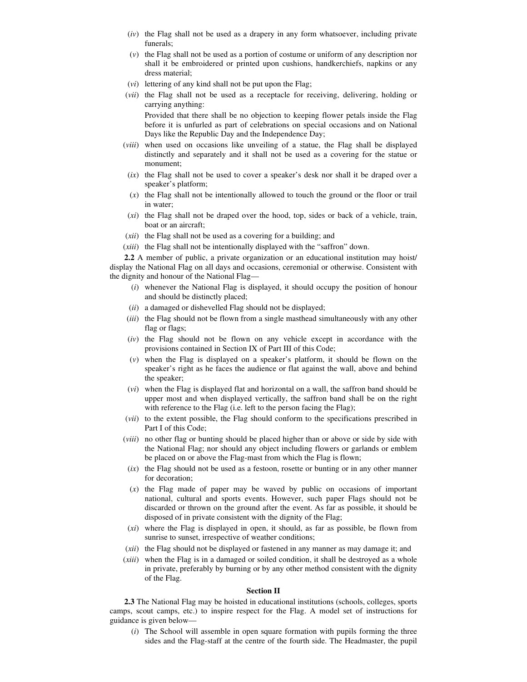- (*iv*) the Flag shall not be used as a drapery in any form whatsoever, including private funerals;
- (*v*) the Flag shall not be used as a portion of costume or uniform of any description nor shall it be embroidered or printed upon cushions, handkerchiefs, napkins or any dress material;
- (*vi*) lettering of any kind shall not be put upon the Flag;
- (*vii*) the Flag shall not be used as a receptacle for receiving, delivering, holding or carrying anything:

Provided that there shall be no objection to keeping flower petals inside the Flag before it is unfurled as part of celebrations on special occasions and on National Days like the Republic Day and the Independence Day;

- (*viii*) when used on occasions like unveiling of a statue, the Flag shall be displayed distinctly and separately and it shall not be used as a covering for the statue or monument;
- (*ix*) the Flag shall not be used to cover a speaker's desk nor shall it be draped over a speaker's platform;
- (*x*) the Flag shall not be intentionally allowed to touch the ground or the floor or trail in water;
- (*xi*) the Flag shall not be draped over the hood, top, sides or back of a vehicle, train, boat or an aircraft;
- (*xii*) the Flag shall not be used as a covering for a building; and
- (*xiii*) the Flag shall not be intentionally displayed with the "saffron" down.

**2.2** A member of public, a private organization or an educational institution may hoist/ display the National Flag on all days and occasions, ceremonial or otherwise. Consistent with the dignity and honour of the National Flag—

- (*i*) whenever the National Flag is displayed, it should occupy the position of honour and should be distinctly placed;
- (*ii*) a damaged or dishevelled Flag should not be displayed;
- (*iii*) the Flag should not be flown from a single masthead simultaneously with any other flag or flags;
- (*iv*) the Flag should not be flown on any vehicle except in accordance with the provisions contained in Section IX of Part III of this Code;
- (*v*) when the Flag is displayed on a speaker's platform, it should be flown on the speaker's right as he faces the audience or flat against the wall, above and behind the speaker;
- (*vi*) when the Flag is displayed flat and horizontal on a wall, the saffron band should be upper most and when displayed vertically, the saffron band shall be on the right with reference to the Flag (i.e. left to the person facing the Flag);
- (*vii*) to the extent possible, the Flag should conform to the specifications prescribed in Part I of this Code;
- (*viii*) no other flag or bunting should be placed higher than or above or side by side with the National Flag; nor should any object including flowers or garlands or emblem be placed on or above the Flag-mast from which the Flag is flown;
- (*ix*) the Flag should not be used as a festoon, rosette or bunting or in any other manner for decoration;
- (*x*) the Flag made of paper may be waved by public on occasions of important national, cultural and sports events. However, such paper Flags should not be discarded or thrown on the ground after the event. As far as possible, it should be disposed of in private consistent with the dignity of the Flag;
- (*xi*) where the Flag is displayed in open, it should, as far as possible, be flown from sunrise to sunset, irrespective of weather conditions;
- (*xii*) the Flag should not be displayed or fastened in any manner as may damage it; and
- (*xiii*) when the Flag is in a damaged or soiled condition, it shall be destroyed as a whole in private, preferably by burning or by any other method consistent with the dignity of the Flag.

# **Section II**

**2.3** The National Flag may be hoisted in educational institutions (schools, colleges, sports camps, scout camps, etc.) to inspire respect for the Flag. A model set of instructions for guidance is given below—

(*i*) The School will assemble in open square formation with pupils forming the three sides and the Flag-staff at the centre of the fourth side. The Headmaster, the pupil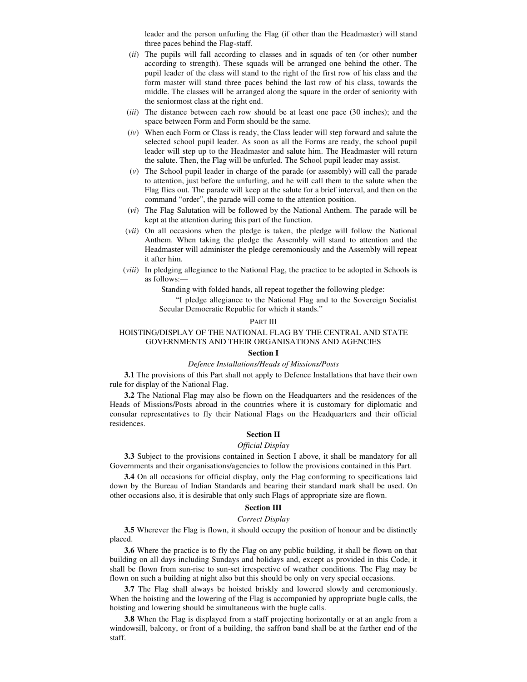leader and the person unfurling the Flag (if other than the Headmaster) will stand three paces behind the Flag-staff.

- (*ii*) The pupils will fall according to classes and in squads of ten (or other number according to strength). These squads will be arranged one behind the other. The pupil leader of the class will stand to the right of the first row of his class and the form master will stand three paces behind the last row of his class, towards the middle. The classes will be arranged along the square in the order of seniority with the seniormost class at the right end.
- (*iii*) The distance between each row should be at least one pace (30 inches); and the space between Form and Form should be the same.
- (*iv*) When each Form or Class is ready, the Class leader will step forward and salute the selected school pupil leader. As soon as all the Forms are ready, the school pupil leader will step up to the Headmaster and salute him. The Headmaster will return the salute. Then, the Flag will be unfurled. The School pupil leader may assist.
- (*v*) The School pupil leader in charge of the parade (or assembly) will call the parade to attention, just before the unfurling, and he will call them to the salute when the Flag flies out. The parade will keep at the salute for a brief interval, and then on the command "order", the parade will come to the attention position.
- (*vi*) The Flag Salutation will be followed by the National Anthem. The parade will be kept at the attention during this part of the function.
- (*vii*) On all occasions when the pledge is taken, the pledge will follow the National Anthem. When taking the pledge the Assembly will stand to attention and the Headmaster will administer the pledge ceremoniously and the Assembly will repeat it after him.
- (*viii*) In pledging allegiance to the National Flag, the practice to be adopted in Schools is as follows:—

Standing with folded hands, all repeat together the following pledge:

"I pledge allegiance to the National Flag and to the Sovereign Socialist Secular Democratic Republic for which it stands."

# PART III

# HOISTING/DISPLAY OF THE NATIONAL FLAG BY THE CENTRAL AND STATE GOVERNMENTS AND THEIR ORGANISATIONS AND AGENCIES

## **Section I**

## *Defence Installations/Heads of Missions/Posts*

**3.1** The provisions of this Part shall not apply to Defence Installations that have their own rule for display of the National Flag.

**3.2** The National Flag may also be flown on the Headquarters and the residences of the Heads of Missions/Posts abroad in the countries where it is customary for diplomatic and consular representatives to fly their National Flags on the Headquarters and their official residences.

# **Section II**

# *Official Display*

**3.3** Subject to the provisions contained in Section I above, it shall be mandatory for all Governments and their organisations/agencies to follow the provisions contained in this Part.

**3.4** On all occasions for official display, only the Flag conforming to specifications laid down by the Bureau of Indian Standards and bearing their standard mark shall be used. On other occasions also, it is desirable that only such Flags of appropriate size are flown.

#### **Section III**

#### *Correct Display*

**3.5** Wherever the Flag is flown, it should occupy the position of honour and be distinctly placed.

**3.6** Where the practice is to fly the Flag on any public building, it shall be flown on that building on all days including Sundays and holidays and, except as provided in this Code, it shall be flown from sun-rise to sun-set irrespective of weather conditions. The Flag may be flown on such a building at night also but this should be only on very special occasions.

**3.7** The Flag shall always be hoisted briskly and lowered slowly and ceremoniously. When the hoisting and the lowering of the Flag is accompanied by appropriate bugle calls, the hoisting and lowering should be simultaneous with the bugle calls.

**3.8** When the Flag is displayed from a staff projecting horizontally or at an angle from a windowsill, balcony, or front of a building, the saffron band shall be at the farther end of the staff.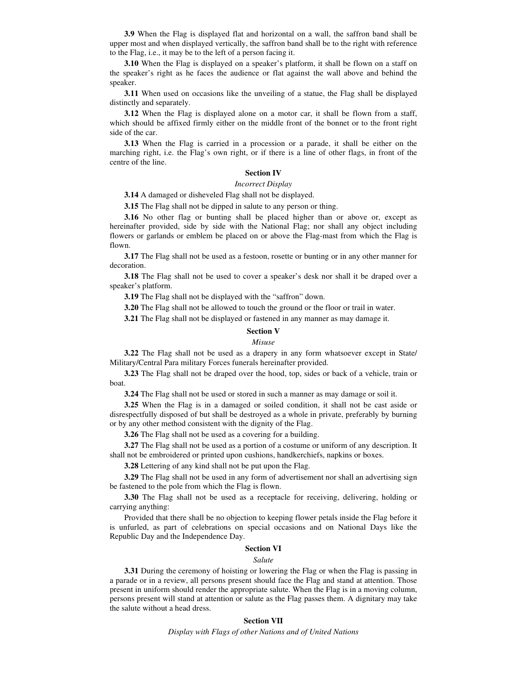**3.9** When the Flag is displayed flat and horizontal on a wall, the saffron band shall be upper most and when displayed vertically, the saffron band shall be to the right with reference to the Flag, i.e., it may be to the left of a person facing it.

**3.10** When the Flag is displayed on a speaker's platform, it shall be flown on a staff on the speaker's right as he faces the audience or flat against the wall above and behind the speaker.

**3.11** When used on occasions like the unveiling of a statue, the Flag shall be displayed distinctly and separately.

**3.12** When the Flag is displayed alone on a motor car, it shall be flown from a staff, which should be affixed firmly either on the middle front of the bonnet or to the front right side of the car.

**3.13** When the Flag is carried in a procession or a parade, it shall be either on the marching right, i.e. the Flag's own right, or if there is a line of other flags, in front of the centre of the line.

# **Section IV**

*Incorrect Display*

**3.14** A damaged or disheveled Flag shall not be displayed.

**3.15** The Flag shall not be dipped in salute to any person or thing.

**3.16** No other flag or bunting shall be placed higher than or above or, except as hereinafter provided, side by side with the National Flag; nor shall any object including flowers or garlands or emblem be placed on or above the Flag-mast from which the Flag is flown.

**3.17** The Flag shall not be used as a festoon, rosette or bunting or in any other manner for decoration.

**3.18** The Flag shall not be used to cover a speaker's desk nor shall it be draped over a speaker's platform.

**3.19** The Flag shall not be displayed with the "saffron" down.

**3.20** The Flag shall not be allowed to touch the ground or the floor or trail in water.

**3.21** The Flag shall not be displayed or fastened in any manner as may damage it.

## **Section V**

#### *Misuse*

**3.22** The Flag shall not be used as a drapery in any form whatsoever except in State/ Military/Central Para military Forces funerals hereinafter provided.

**3.23** The Flag shall not be draped over the hood, top, sides or back of a vehicle, train or boat.

**3.24** The Flag shall not be used or stored in such a manner as may damage or soil it.

**3.25** When the Flag is in a damaged or soiled condition, it shall not be cast aside or disrespectfully disposed of but shall be destroyed as a whole in private, preferably by burning or by any other method consistent with the dignity of the Flag.

**3.26** The Flag shall not be used as a covering for a building.

**3.27** The Flag shall not be used as a portion of a costume or uniform of any description. It shall not be embroidered or printed upon cushions, handkerchiefs, napkins or boxes.

**3.28** Lettering of any kind shall not be put upon the Flag.

**3.29** The Flag shall not be used in any form of advertisement nor shall an advertising sign be fastened to the pole from which the Flag is flown.

**3.30** The Flag shall not be used as a receptacle for receiving, delivering, holding or carrying anything:

Provided that there shall be no objection to keeping flower petals inside the Flag before it is unfurled, as part of celebrations on special occasions and on National Days like the Republic Day and the Independence Day.

## **Section VI**

### *Salute*

**3.31** During the ceremony of hoisting or lowering the Flag or when the Flag is passing in a parade or in a review, all persons present should face the Flag and stand at attention. Those present in uniform should render the appropriate salute. When the Flag is in a moving column, persons present will stand at attention or salute as the Flag passes them. A dignitary may take the salute without a head dress.

## **Section VII**

#### *Display with Flags of other Nations and of United Nations*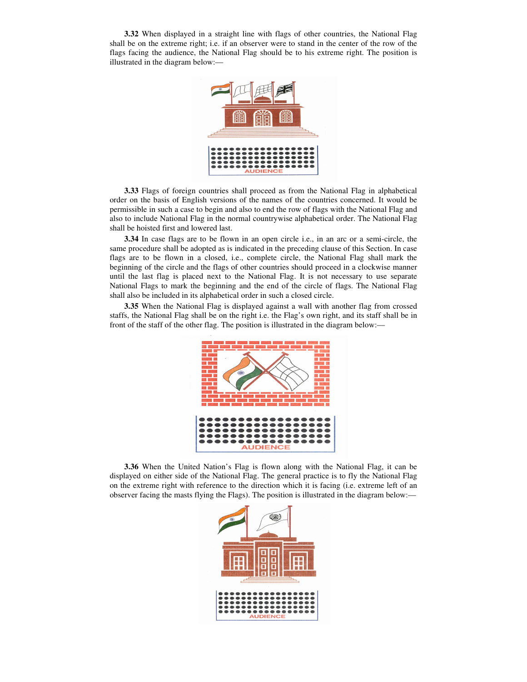**3.32** When displayed in a straight line with flags of other countries, the National Flag shall be on the extreme right; i.e. if an observer were to stand in the center of the row of the flags facing the audience, the National Flag should be to his extreme right. The position is illustrated in the diagram below:—



**3.33** Flags of foreign countries shall proceed as from the National Flag in alphabetical order on the basis of English versions of the names of the countries concerned. It would be permissible in such a case to begin and also to end the row of flags with the National Flag and also to include National Flag in the normal countrywise alphabetical order. The National Flag shall be hoisted first and lowered last.

**3.34** In case flags are to be flown in an open circle i.e., in an arc or a semi-circle, the same procedure shall be adopted as is indicated in the preceding clause of this Section. In case flags are to be flown in a closed, i.e., complete circle, the National Flag shall mark the beginning of the circle and the flags of other countries should proceed in a clockwise manner until the last flag is placed next to the National Flag. It is not necessary to use separate National Flags to mark the beginning and the end of the circle of flags. The National Flag shall also be included in its alphabetical order in such a closed circle.

**3.35** When the National Flag is displayed against a wall with another flag from crossed staffs, the National Flag shall be on the right i.e. the Flag's own right, and its staff shall be in front of the staff of the other flag. The position is illustrated in the diagram below:—



**3.36** When the United Nation's Flag is flown along with the National Flag, it can be displayed on either side of the National Flag. The general practice is to fly the National Flag on the extreme right with reference to the direction which it is facing (i.e. extreme left of an observer facing the masts flying the Flags). The position is illustrated in the diagram below:—

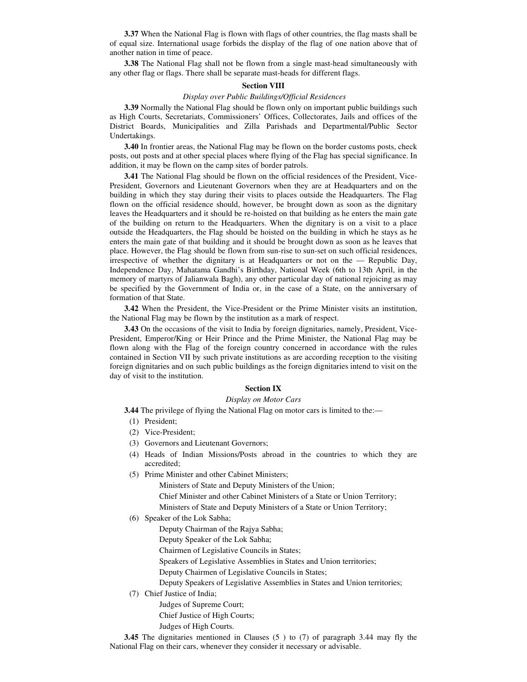**3.37** When the National Flag is flown with flags of other countries, the flag masts shall be of equal size. International usage forbids the display of the flag of one nation above that of another nation in time of peace.

**3.38** The National Flag shall not be flown from a single mast-head simultaneously with any other flag or flags. There shall be separate mast-heads for different flags.

## **Section VIII**

## *Display over Public Buildings/Official Residences*

**3.39** Normally the National Flag should be flown only on important public buildings such as High Courts, Secretariats, Commissioners' Offices, Collectorates, Jails and offices of the District Boards, Municipalities and Zilla Parishads and Departmental/Public Sector Undertakings.

**3.40** In frontier areas, the National Flag may be flown on the border customs posts, check posts, out posts and at other special places where flying of the Flag has special significance. In addition, it may be flown on the camp sites of border patrols.

**3.41** The National Flag should be flown on the official residences of the President, Vice-President, Governors and Lieutenant Governors when they are at Headquarters and on the building in which they stay during their visits to places outside the Headquarters. The Flag flown on the official residence should, however, be brought down as soon as the dignitary leaves the Headquarters and it should be re-hoisted on that building as he enters the main gate of the building on return to the Headquarters. When the dignitary is on a visit to a place outside the Headquarters, the Flag should be hoisted on the building in which he stays as he enters the main gate of that building and it should be brought down as soon as he leaves that place. However, the Flag should be flown from sun-rise to sun-set on such official residences, irrespective of whether the dignitary is at Headquarters or not on the — Republic Day, Independence Day, Mahatama Gandhi's Birthday, National Week (6th to 13th April, in the memory of martyrs of Jalianwala Bagh), any other particular day of national rejoicing as may be specified by the Government of India or, in the case of a State, on the anniversary of formation of that State.

**3.42** When the President, the Vice-President or the Prime Minister visits an institution, the National Flag may be flown by the institution as a mark of respect.

**3.43** On the occasions of the visit to India by foreign dignitaries, namely, President, Vice-President, Emperor/King or Heir Prince and the Prime Minister, the National Flag may be flown along with the Flag of the foreign country concerned in accordance with the rules contained in Section VII by such private institutions as are according reception to the visiting foreign dignitaries and on such public buildings as the foreign dignitaries intend to visit on the day of visit to the institution.

# **Section IX**

#### *Display on Motor Cars*

**3.44** The privilege of flying the National Flag on motor cars is limited to the:—

- (1) President;
- (2) Vice-President;
- (3) Governors and Lieutenant Governors;
- (4) Heads of Indian Missions/Posts abroad in the countries to which they are accredited;
- (5) Prime Minister and other Cabinet Ministers;

Ministers of State and Deputy Ministers of the Union;

Chief Minister and other Cabinet Ministers of a State or Union Territory;

Ministers of State and Deputy Ministers of a State or Union Territory;

# (6) Speaker of the Lok Sabha;

Deputy Chairman of the Rajya Sabha;

Deputy Speaker of the Lok Sabha;

Chairmen of Legislative Councils in States;

Speakers of Legislative Assemblies in States and Union territories;

Deputy Chairmen of Legislative Councils in States;

Deputy Speakers of Legislative Assemblies in States and Union territories;

### (7) Chief Justice of India;

Judges of Supreme Court; Chief Justice of High Courts;

Judges of High Courts.

**3.45** The dignitaries mentioned in Clauses (5 ) to (7) of paragraph 3.44 may fly the National Flag on their cars, whenever they consider it necessary or advisable.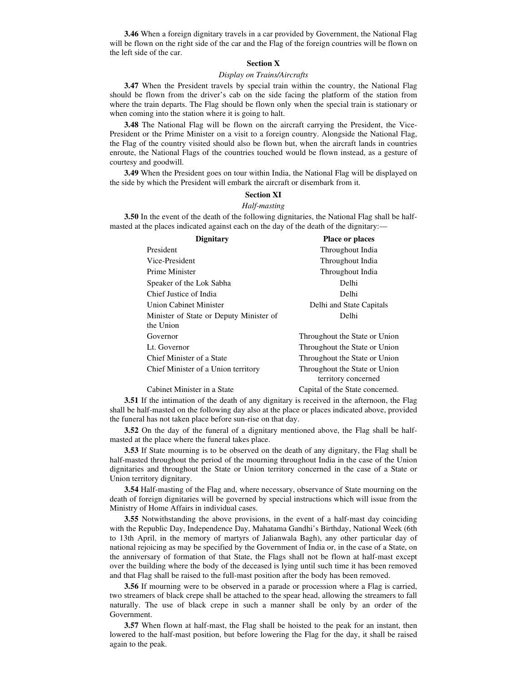**3.46** When a foreign dignitary travels in a car provided by Government, the National Flag will be flown on the right side of the car and the Flag of the foreign countries will be flown on the left side of the car.

# **Section X**

# *Display on Trains/Aircrafts*

**3.47** When the President travels by special train within the country, the National Flag should be flown from the driver's cab on the side facing the platform of the station from where the train departs. The Flag should be flown only when the special train is stationary or when coming into the station where it is going to halt.

**3.48** The National Flag will be flown on the aircraft carrying the President, the Vice-President or the Prime Minister on a visit to a foreign country. Alongside the National Flag, the Flag of the country visited should also be flown but, when the aircraft lands in countries enroute, the National Flags of the countries touched would be flown instead, as a gesture of courtesy and goodwill.

**3.49** When the President goes on tour within India, the National Flag will be displayed on the side by which the President will embark the aircraft or disembark from it.

## **Section XI**

## *Half-masting*

**3.50** In the event of the death of the following dignitaries, the National Flag shall be halfmasted at the places indicated against each on the day of the death of the dignitary:—

| <b>Dignitary</b>                                     | <b>Place or places</b>                               |
|------------------------------------------------------|------------------------------------------------------|
| President                                            | Throughout India                                     |
| Vice-President                                       | Throughout India                                     |
| Prime Minister                                       | Throughout India                                     |
| Speaker of the Lok Sabha                             | Delhi                                                |
| Chief Justice of India                               | Delhi                                                |
| <b>Union Cabinet Minister</b>                        | Delhi and State Capitals                             |
| Minister of State or Deputy Minister of<br>the Union | Delhi                                                |
| Governor                                             | Throughout the State or Union                        |
| Lt. Governor                                         | Throughout the State or Union                        |
| Chief Minister of a State                            | Throughout the State or Union                        |
| Chief Minister of a Union territory                  | Throughout the State or Union<br>territory concerned |

Cabinet Minister in a State Capital of the State concerned.

**3.51** If the intimation of the death of any dignitary is received in the afternoon, the Flag shall be half-masted on the following day also at the place or places indicated above, provided the funeral has not taken place before sun-rise on that day.

**3.52** On the day of the funeral of a dignitary mentioned above, the Flag shall be halfmasted at the place where the funeral takes place.

**3.53** If State mourning is to be observed on the death of any dignitary, the Flag shall be half-masted throughout the period of the mourning throughout India in the case of the Union dignitaries and throughout the State or Union territory concerned in the case of a State or Union territory dignitary.

**3.54** Half-masting of the Flag and, where necessary, observance of State mourning on the death of foreign dignitaries will be governed by special instructions which will issue from the Ministry of Home Affairs in individual cases.

**3.55** Notwithstanding the above provisions, in the event of a half-mast day coinciding with the Republic Day, Independence Day, Mahatama Gandhi's Birthday, National Week (6th to 13th April, in the memory of martyrs of Jalianwala Bagh), any other particular day of national rejoicing as may be specified by the Government of India or, in the case of a State, on the anniversary of formation of that State, the Flags shall not be flown at half-mast except over the building where the body of the deceased is lying until such time it has been removed and that Flag shall be raised to the full-mast position after the body has been removed.

**3.56** If mourning were to be observed in a parade or procession where a Flag is carried, two streamers of black crepe shall be attached to the spear head, allowing the streamers to fall naturally. The use of black crepe in such a manner shall be only by an order of the Government.

**3.57** When flown at half-mast, the Flag shall be hoisted to the peak for an instant, then lowered to the half-mast position, but before lowering the Flag for the day, it shall be raised again to the peak.